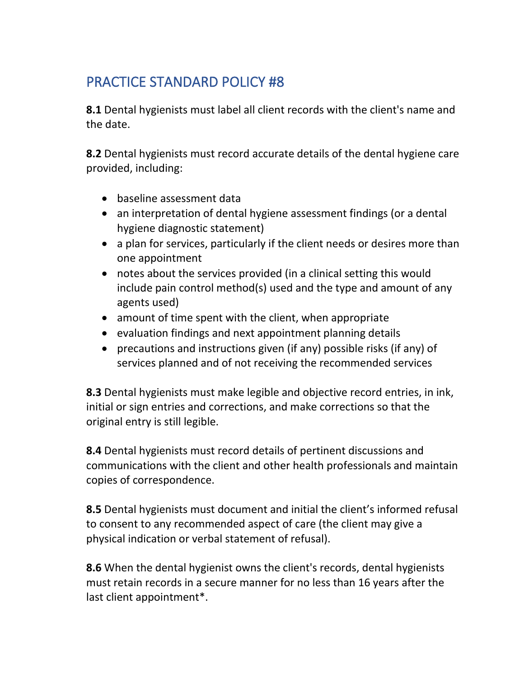## PRACTICE STANDARD POLICY #8

**8.1** Dental hygienists must label all client records with the client's name and the date.

**8.2** Dental hygienists must record accurate details of the dental hygiene care provided, including:

- baseline assessment data
- an interpretation of dental hygiene assessment findings (or a dental hygiene diagnostic statement)
- a plan for services, particularly if the client needs or desires more than one appointment
- notes about the services provided (in a clinical setting this would include pain control method(s) used and the type and amount of any agents used)
- amount of time spent with the client, when appropriate
- evaluation findings and next appointment planning details
- precautions and instructions given (if any) possible risks (if any) of services planned and of not receiving the recommended services

**8.3** Dental hygienists must make legible and objective record entries, in ink, initial or sign entries and corrections, and make corrections so that the original entry is still legible.

**8.4** Dental hygienists must record details of pertinent discussions and communications with the client and other health professionals and maintain copies of correspondence.

**8.5** Dental hygienists must document and initial the client's informed refusal to consent to any recommended aspect of care (the client may give a physical indication or verbal statement of refusal).

**8.6** When the dental hygienist owns the client's records, dental hygienists must retain records in a secure manner for no less than 16 years after the last client appointment\*.